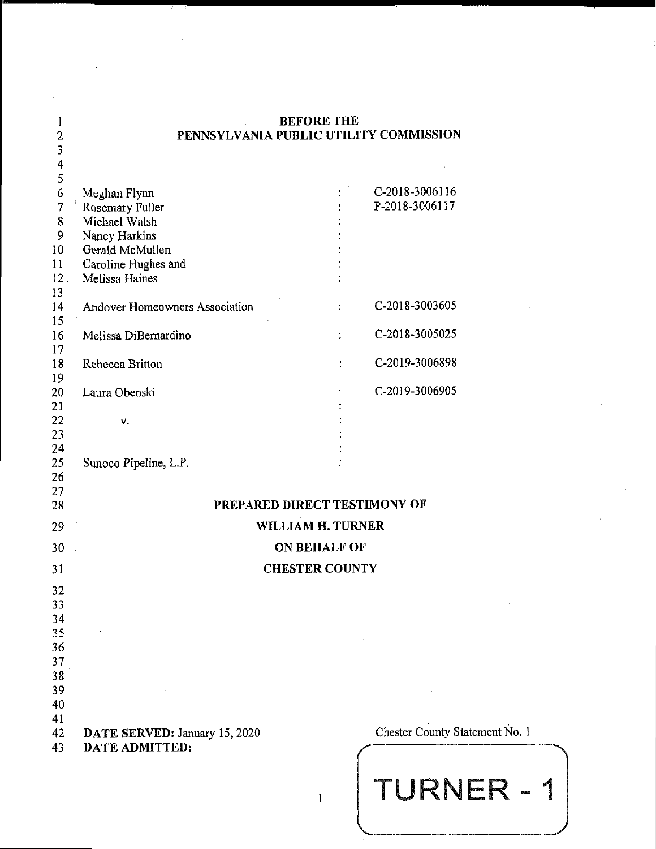| I                       |                                        | <b>BEFORE THE</b>     |                                |
|-------------------------|----------------------------------------|-----------------------|--------------------------------|
| $\overline{c}$          | PENNSYLVANIA PUBLIC UTILITY COMMISSION |                       |                                |
| 3                       |                                        |                       |                                |
| $\overline{\mathbf{r}}$ |                                        |                       |                                |
| 5                       |                                        |                       |                                |
| 6                       | Meghan Flynn                           |                       | C-2018-3006116                 |
| 7                       | Rosemary Fuller                        |                       | P-2018-3006117                 |
| 8                       | Michael Walsh                          |                       |                                |
| 9                       | Nancy Harkins                          |                       |                                |
| 10                      | Gerald McMullen                        |                       |                                |
| 11                      | Caroline Hughes and                    |                       |                                |
| 12 <sup>2</sup>         | Melissa Haines                         |                       |                                |
| 13                      |                                        |                       |                                |
| 14                      | Andover Homeowners Association         |                       | C-2018-3003605                 |
| 15                      |                                        |                       |                                |
| 16                      | Melissa DiBernardino                   | t                     | C-2018-3005025                 |
| 17                      |                                        |                       |                                |
| 18                      | Rebecca Britton                        |                       | C-2019-3006898                 |
| 19                      |                                        |                       |                                |
| 20                      | Laura Obenski                          |                       | C-2019-3006905                 |
| 21                      |                                        |                       |                                |
| 22                      | v.                                     |                       |                                |
| 23                      |                                        |                       |                                |
| 24                      |                                        |                       |                                |
| 25                      | Sunoco Pipeline, L.P.                  |                       |                                |
| 26                      |                                        |                       |                                |
| 27                      |                                        |                       |                                |
| 28                      | PREPARED DIRECT TESTIMONY OF           |                       |                                |
| 29                      |                                        | WILLIAM H. TURNER     |                                |
| 30                      |                                        | ON BEHALF OF          |                                |
|                         |                                        |                       |                                |
| 31                      |                                        | <b>CHESTER COUNTY</b> |                                |
| 32                      |                                        |                       |                                |
| 33                      |                                        |                       | $\boldsymbol{t}$               |
| 34                      |                                        |                       |                                |
| 35                      | ÷.                                     |                       |                                |
| 36                      |                                        |                       |                                |
| 37                      |                                        |                       |                                |
| 38                      |                                        |                       |                                |
| 39                      |                                        |                       |                                |
| 40                      |                                        |                       |                                |
| 41                      |                                        |                       |                                |
| 42                      | DATE SERVED: January 15, 2020          |                       | Chester County Statement No. 1 |
| 43                      | <b>DATE ADMITTED:</b>                  |                       |                                |
|                         |                                        |                       |                                |
|                         |                                        |                       |                                |
|                         |                                        | 1                     | TURNER - 1                     |
|                         |                                        |                       |                                |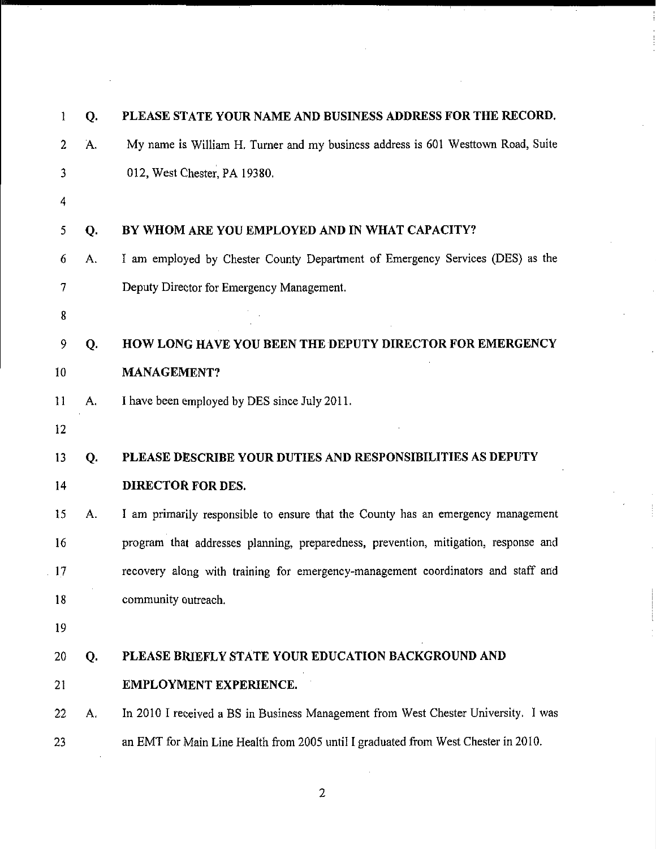| 1  | Q. | PLEASE STATE YOUR NAME AND BUSINESS ADDRESS FOR THE RECORD.                         |
|----|----|-------------------------------------------------------------------------------------|
| 2  | A. | My name is William H. Turner and my business address is 601 Westtown Road, Suite    |
| 3  |    | 012, West Chester, PA 19380.                                                        |
| 4  |    |                                                                                     |
| 5  | Q. | BY WHOM ARE YOU EMPLOYED AND IN WHAT CAPACITY?                                      |
| 6  | А. | I am employed by Chester County Department of Emergency Services (DES) as the       |
| 7  |    | Deputy Director for Emergency Management.                                           |
| 8  |    |                                                                                     |
| 9  | Q. | HOW LONG HAVE YOU BEEN THE DEPUTY DIRECTOR FOR EMERGENCY                            |
| 10 |    | <b>MANAGEMENT?</b>                                                                  |
| 11 | A. | I have been employed by DES since July 2011.                                        |
| 12 |    |                                                                                     |
| 13 | Q. | PLEASE DESCRIBE YOUR DUTIES AND RESPONSIBILITIES AS DEPUTY                          |
| 14 |    | DIRECTOR FOR DES.                                                                   |
| 15 | A. | I am primarily responsible to ensure that the County has an emergency management    |
| 16 |    | program that addresses planning, preparedness, prevention, mitigation, response and |
| 17 |    | recovery along with training for emergency-management coordinators and staff and    |
| 18 |    | community outreach.                                                                 |
| 19 |    |                                                                                     |
| 20 | Q. | PLEASE BRIEFLY STATE YOUR EDUCATION BACKGROUND AND                                  |
| 21 |    | <b>EMPLOYMENT EXPERIENCE.</b>                                                       |
| 22 | А. | In 2010 I received a BS in Business Management from West Chester University. I was  |
| 23 |    | an EMT for Main Line Health from 2005 until I graduated from West Chester in 2010.  |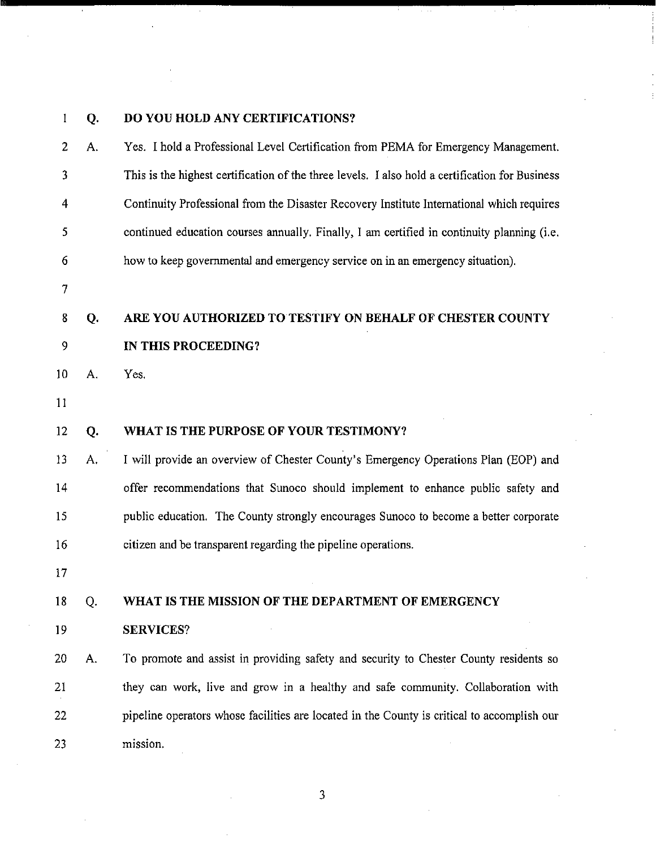# **Q. DO YOU HOLD ANY CERTIFICATIONS?**

 $\bar{z}$ 

| 2  | А. | Yes. I hold a Professional Level Certification from PEMA for Emergency Management.              |
|----|----|-------------------------------------------------------------------------------------------------|
| 3  |    | This is the highest certification of the three levels. I also hold a certification for Business |
| 4  |    | Continuity Professional from the Disaster Recovery Institute International which requires       |
| 5  |    | continued education courses annually. Finally, I am certified in continuity planning (i.e.      |
| 6  |    | how to keep governmental and emergency service on in an emergency situation).                   |
| 7  |    |                                                                                                 |
| 8  | Q. | ARE YOU AUTHORIZED TO TESTIFY ON BEHALF OF CHESTER COUNTY                                       |
| 9  |    | IN THIS PROCEEDING?                                                                             |
| 10 | A. | Yes.                                                                                            |
| 11 |    |                                                                                                 |
| 12 | Q. | WHAT IS THE PURPOSE OF YOUR TESTIMONY?                                                          |
| 13 | A. | I will provide an overview of Chester County's Emergency Operations Plan (EOP) and              |
| 14 |    | offer recommendations that Sunoco should implement to enhance public safety and                 |
| 15 |    | public education. The County strongly encourages Sunoco to become a better corporate            |
| 16 |    | citizen and be transparent regarding the pipeline operations.                                   |
| 17 |    |                                                                                                 |
| 18 | Q. | WHAT IS THE MISSION OF THE DEPARTMENT OF EMERGENCY                                              |
| 19 |    | <b>SERVICES?</b>                                                                                |
| 20 | A. | To promote and assist in providing safety and security to Chester County residents so           |
| 21 |    | they can work, live and grow in a healthy and safe community. Collaboration with                |
| 22 |    | pipeline operators whose facilities are located in the County is critical to accomplish our     |
| 23 |    | mission.                                                                                        |

 $\mathbb{R}^{\mathbb{Z}}$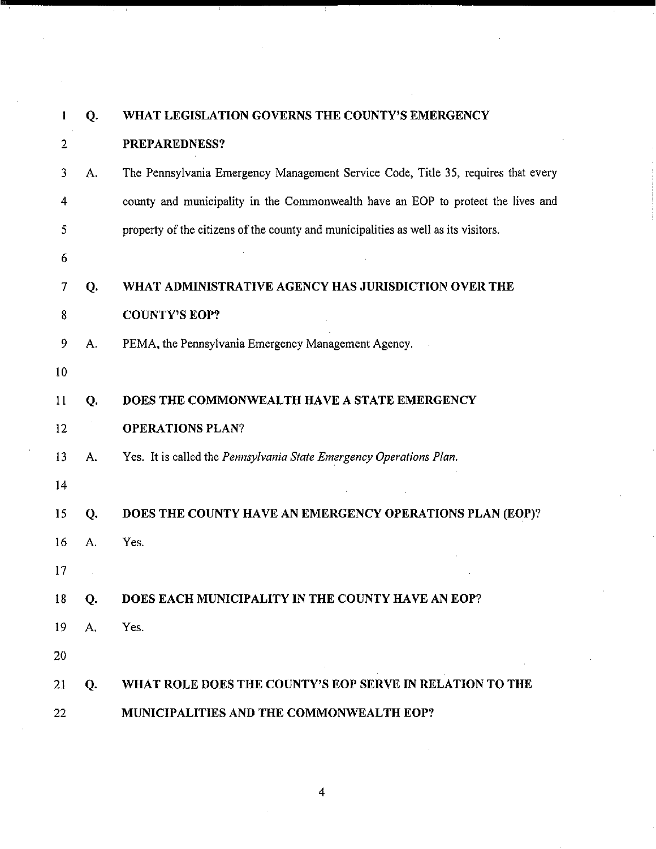| ı  | Q. | WHAT LEGISLATION GOVERNS THE COUNTY'S EMERGENCY                                    |
|----|----|------------------------------------------------------------------------------------|
| 2  |    | PREPAREDNESS?                                                                      |
| 3  | Α. | The Pennsylvania Emergency Management Service Code, Title 35, requires that every  |
| 4  |    | county and municipality in the Commonwealth have an EOP to protect the lives and   |
| 5  |    | property of the citizens of the county and municipalities as well as its visitors. |
| 6  |    |                                                                                    |
| 7  | Q. | WHAT ADMINISTRATIVE AGENCY HAS JURISDICTION OVER THE                               |
| 8  |    | <b>COUNTY'S EOP?</b>                                                               |
| 9  | A. | PEMA, the Pennsylvania Emergency Management Agency.                                |
| 10 |    |                                                                                    |
| 11 | Q. | DOES THE COMMONWEALTH HAVE A STATE EMERGENCY                                       |
| 12 |    | <b>OPERATIONS PLAN?</b>                                                            |
| 13 | А. | Yes. It is called the Pennsylvania State Emergency Operations Plan.                |
| 14 |    |                                                                                    |
| 15 | Q. | DOES THE COUNTY HAVE AN EMERGENCY OPERATIONS PLAN (EOP)?                           |
| 16 | Α. | Yes.                                                                               |
| 17 |    |                                                                                    |
| 18 | Q. | DOES EACH MUNICIPALITY IN THE COUNTY HAVE AN EOP?                                  |
| 19 | А. | Yes.                                                                               |
| 20 |    |                                                                                    |
| 21 | Q. | WHAT ROLE DOES THE COUNTY'S EOP SERVE IN RELATION TO THE                           |
| 22 |    | MUNICIPALITIES AND THE COMMONWEALTH EOP?                                           |

 $\hat{\mathcal{A}}$ 

 $\bar{z}$ 

 $\mathbb{R}^2$ 

 $\frac{1}{2}$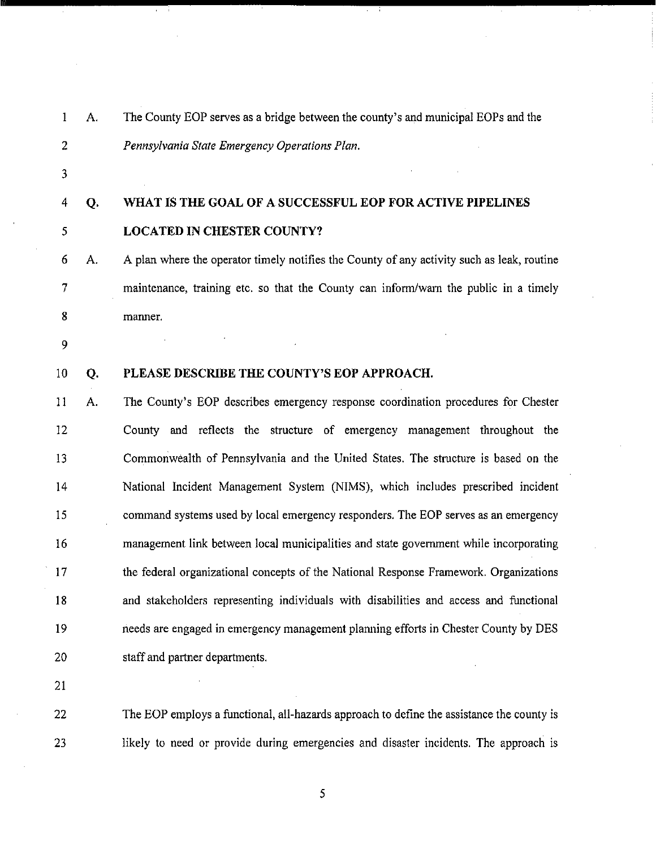| 1              | А. | The County EOP serves as a bridge between the county's and municipal EOPs and the          |
|----------------|----|--------------------------------------------------------------------------------------------|
| $\overline{2}$ |    | Pennsylvania State Emergency Operations Plan.                                              |
| 3              |    |                                                                                            |
| 4              | Q. | WHAT IS THE GOAL OF A SUCCESSFUL EOP FOR ACTIVE PIPELINES                                  |
| 5              |    | <b>LOCATED IN CHESTER COUNTY?</b>                                                          |
| 6              | А. | A plan where the operator timely notifies the County of any activity such as leak, routine |
| 7              |    | maintenance, training etc. so that the County can inform/warn the public in a timely       |
| 8              |    | manner.                                                                                    |
| 9              |    |                                                                                            |
| 10             | Q. | PLEASE DESCRIBE THE COUNTY'S EOP APPROACH.                                                 |
| 11             | A. | The County's EOP describes emergency response coordination procedures for Chester          |
| 12             |    | County and reflects the structure of emergency management throughout the                   |
| 13             |    | Commonwealth of Pennsylvania and the United States. The structure is based on the          |
| 14             |    | National Incident Management System (NIMS), which includes prescribed incident             |
| 15             |    | command systems used by local emergency responders. The EOP serves as an emergency         |
| 16             |    | management link between local municipalities and state government while incorporating      |
| 17             |    | the federal organizational concepts of the National Response Framework. Organizations      |
| 18             |    | and stakeholders representing individuals with disabilities and access and functional      |
| 19             |    | needs are engaged in emergency management planning efforts in Chester County by DES        |
| 20             |    | staff and partner departments.                                                             |
| 21             |    |                                                                                            |

Ŧ

 The EOP employs a functional, all-hazards approach to define the assistance the county is likely to need or provide during emergencies and disaster incidents. The approach is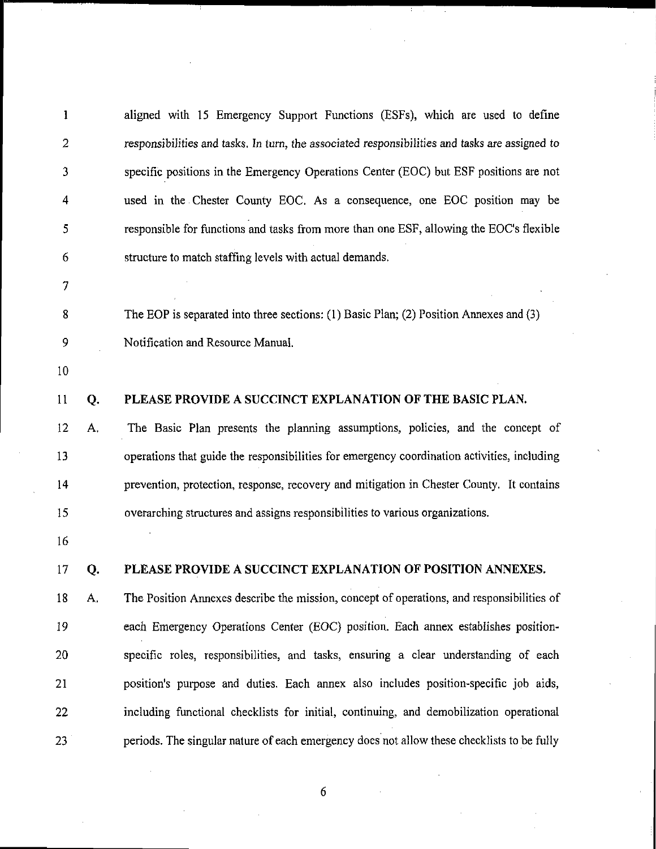| 1              |    | aligned with 15 Emergency Support Functions (ESFs), which are used to define                   |
|----------------|----|------------------------------------------------------------------------------------------------|
| $\overline{2}$ |    | responsibilities and tasks. In turn, the associated responsibilities and tasks are assigned to |
| 3              |    | specific positions in the Emergency Operations Center (EOC) but ESF positions are not          |
| 4              |    | used in the Chester County EOC. As a consequence, one EOC position may be                      |
| 5              |    | responsible for functions and tasks from more than one ESF, allowing the EOC's flexible        |
| 6              |    | structure to match staffing levels with actual demands.                                        |
| 7              |    |                                                                                                |
| 8              |    | The EOP is separated into three sections: (1) Basic Plan; (2) Position Annexes and (3)         |
| 9              |    | Notification and Resource Manual.                                                              |
| 10             |    |                                                                                                |
| $\mathbf{11}$  | Q. | PLEASE PROVIDE A SUCCINCT EXPLANATION OF THE BASIC PLAN.                                       |
| 12             | А. | The Basic Plan presents the planning assumptions, policies, and the concept of                 |
| 13             |    | operations that guide the responsibilities for emergency coordination activities, including    |
| 14             |    | prevention, protection, response, recovery and mitigation in Chester County. It contains       |
| 15             |    | overarching structures and assigns responsibilities to various organizations.                  |
| 16             |    |                                                                                                |
| 17             | Q. | PLEASE PROVIDE A SUCCINCT EXPLANATION OF POSITION ANNEXES.                                     |
| 18             | A. | The Position Annexes describe the mission, concept of operations, and responsibilities of      |
| 19             |    | each Emergency Operations Center (EOC) position. Each annex establishes position-              |
| 20             |    | specific roles, responsibilities, and tasks, ensuring a clear understanding of each            |
| 21             |    | position's purpose and duties. Each annex also includes position-specific job aids,            |
| 22             |    | including functional checklists for initial, continuing, and demobilization operational        |
| 23             |    | periods. The singular nature of each emergency does not allow these checklists to be fully     |
|                |    |                                                                                                |
|                |    | 6                                                                                              |

 $\sim 30\,M_\odot$ 

T.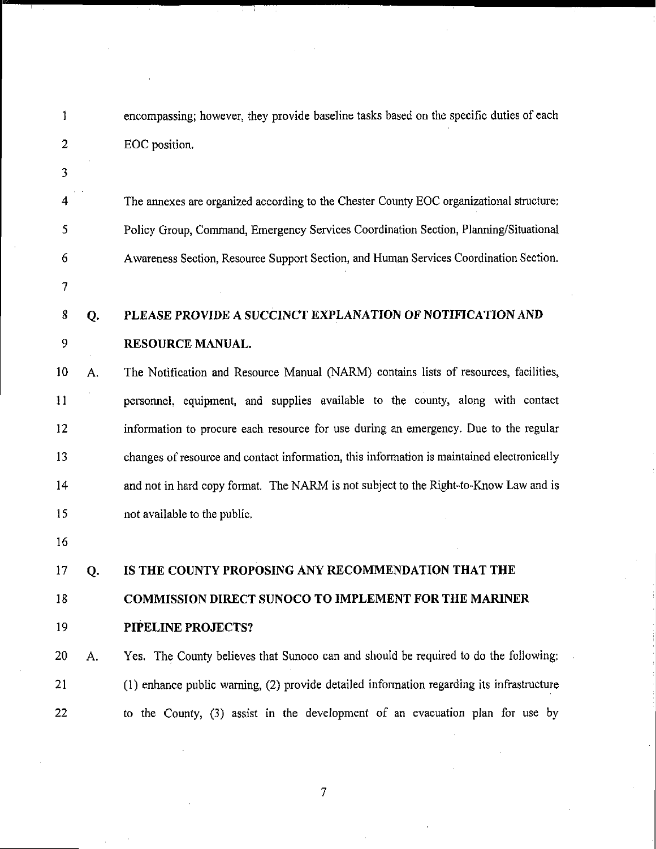| 1              |    | encompassing; however, they provide baseline tasks based on the specific duties of each    |
|----------------|----|--------------------------------------------------------------------------------------------|
| $\overline{2}$ |    | EOC position.                                                                              |
| 3              |    |                                                                                            |
| 4              |    | The annexes are organized according to the Chester County EOC organizational structure:    |
| 5              |    | Policy Group, Command, Emergency Services Coordination Section, Planning/Situational       |
| 6              |    | Awareness Section, Resource Support Section, and Human Services Coordination Section.      |
| $\overline{7}$ |    |                                                                                            |
| 8              | Q. | PLEASE PROVIDE A SUCCINCT EXPLANATION OF NOTIFICATION AND                                  |
| 9              |    | RESOURCE MANUAL.                                                                           |
| 10             | A. | The Notification and Resource Manual (NARM) contains lists of resources, facilities,       |
| 11             |    | personnel, equipment, and supplies available to the county, along with contact             |
| 12             |    | information to procure each resource for use during an emergency. Due to the regular       |
| 13             |    | changes of resource and contact information, this information is maintained electronically |
| 14             |    | and not in hard copy format. The NARM is not subject to the Right-to-Know Law and is       |
| 15             |    | not available to the public.                                                               |
| 16             |    |                                                                                            |
| 17             | Q. | IS THE COUNTY PROPOSING ANY RECOMMENDATION THAT THE                                        |
| 18             |    | <b>COMMISSION DIRECT SUNOCO TO IMPLEMENT FOR THE MARINER</b>                               |
| 19             |    | PIPELINE PROJECTS?                                                                         |
| 20             | A. | Yes. The County believes that Sunoco can and should be required to do the following:       |
| 21             |    | (1) enhance public warning, (2) provide detailed information regarding its infrastructure  |
| 22             |    | to the County, (3) assist in the development of an evacuation plan for use by              |

 $\bar{\gamma}$ 

Ŧ

 $\bar{z}$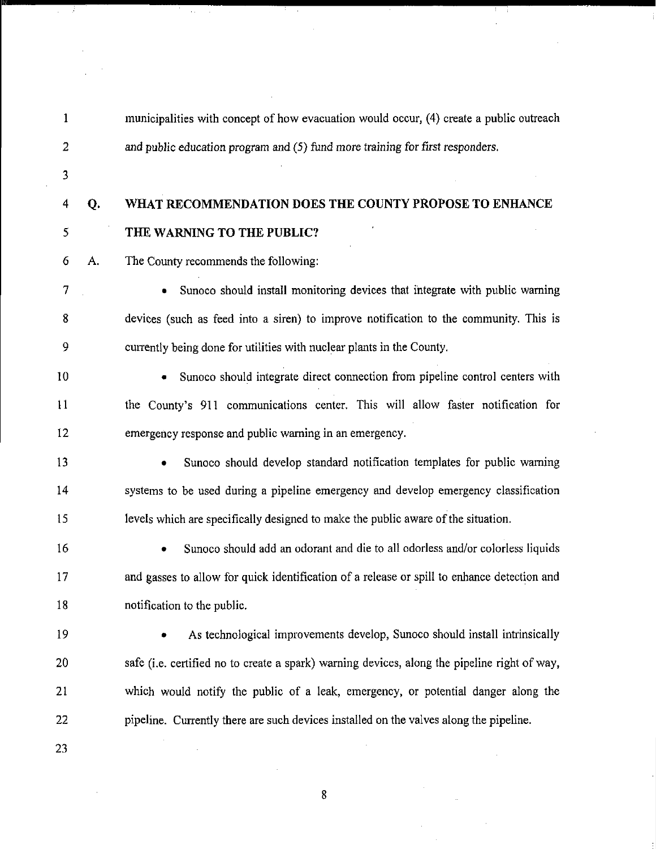municipalities with concept of how evacuation would occur, (4) create a public outreach and public education program and (5) fund more training for first responders.

- 
- 

# **Q. WHAT RECOMMENDATION DOES THE COUNTY PROPOSE TO ENHANCE THE WARNING TO THE PUBLIC?**

A. The County recommends the following:

 $\alpha$  .

 • Sunoco should install monitoring devices that integrate with public warning devices (such as feed into a siren) to improve notification to the community. This is currently being done for utilities with nuclear plants in the County.

 • Sunoco should integrate direct connection from pipeline control centers with the County's 911 communications center. This will allow faster notification for emergency response and public warning in an emergency.

 systems to be used during a pipeline emergency and develop emergency classification levels which are specifically designed to make the public aware ofthe situation. Sunoco should develop standard notification templates for public warning

 and gasses to allow for quick identification of a release or spill to enhance detection and notification to the public. • Sunoco should add an odorant and die to all odorless and/or colorless liquids

- As technological improvements develop, Sunoco should install intrinsically 20 safe (i.e. certified no to create a spark) warning devices, along the pipeline right of way, which would notify the public of a leak, emergency, or potential danger along the pipeline. Currently there are such devices installed on the valves along the pipeline.
-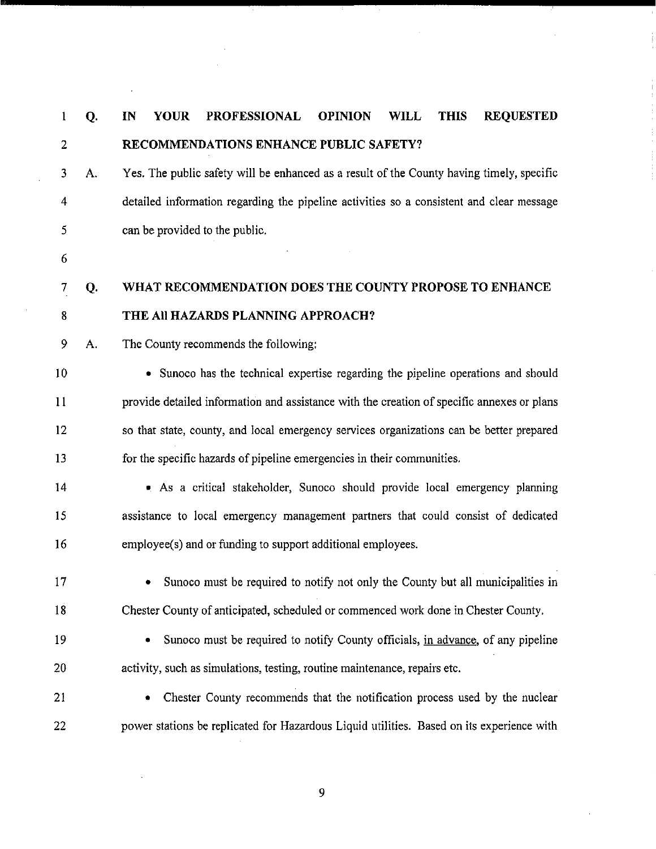| l  | Q. | <b>REQUESTED</b><br><b>YOUR</b><br><b>PROFESSIONAL</b><br><b>OPINION</b><br><b>WILL</b><br><b>THIS</b><br>IN |
|----|----|--------------------------------------------------------------------------------------------------------------|
| 2  |    | RECOMMENDATIONS ENHANCE PUBLIC SAFETY?                                                                       |
| 3  | A. | Yes. The public safety will be enhanced as a result of the County having timely, specific                    |
| 4  |    | detailed information regarding the pipeline activities so a consistent and clear message                     |
| 5  |    | can be provided to the public.                                                                               |
| 6  |    |                                                                                                              |
| 7  | Q. | WHAT RECOMMENDATION DOES THE COUNTY PROPOSE TO ENHANCE                                                       |
| 8  |    | THE All HAZARDS PLANNING APPROACH?                                                                           |
| 9  | А. | The County recommends the following:                                                                         |
| 10 |    | • Sunoco has the technical expertise regarding the pipeline operations and should                            |
| 11 |    | provide detailed information and assistance with the creation of specific annexes or plans                   |
| 12 |    | so that state, county, and local emergency services organizations can be better prepared                     |
| 13 |    | for the specific hazards of pipeline emergencies in their communities.                                       |
| 14 |    | . As a critical stakeholder, Sunoco should provide local emergency planning                                  |
| 15 |    | assistance to local emergency management partners that could consist of dedicated                            |
| 16 |    | employee(s) and or funding to support additional employees.                                                  |
| 17 |    | Sunoco must be required to notify not only the County but all municipalities in                              |
| 18 |    | Chester County of anticipated, scheduled or commenced work done in Chester County.                           |
| 19 |    | Sunoco must be required to notify County officials, in advance, of any pipeline                              |
| 20 |    | activity, such as simulations, testing, routine maintenance, repairs etc.                                    |
| 21 |    | Chester County recommends that the notification process used by the nuclear                                  |
| 22 |    | power stations be replicated for Hazardous Liquid utilities. Based on its experience with                    |

 $\hat{\boldsymbol{\beta}}$ 

 $\overline{\phantom{a}}$ 

 $\bar{z}$ 

 $\hat{\boldsymbol{\beta}}$ 

 $\hat{\mathcal{A}}$ 

 $\frac{1}{2}$ 

 $\frac{1}{2}$ 

 $\hat{\boldsymbol{\theta}}$ 

 $\bar{\psi}$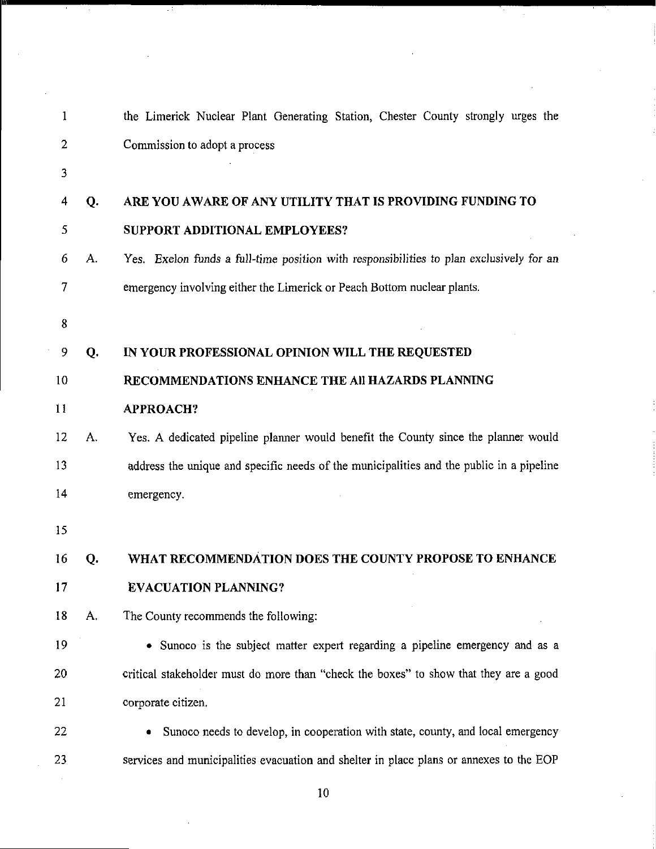| 1  |    | the Limerick Nuclear Plant Generating Station, Chester County strongly urges the         |
|----|----|------------------------------------------------------------------------------------------|
| 2  |    | Commission to adopt a process                                                            |
| 3  |    |                                                                                          |
| 4  | Q. | ARE YOU AWARE OF ANY UTILITY THAT IS PROVIDING FUNDING TO                                |
| 5  |    | SUPPORT ADDITIONAL EMPLOYEES?                                                            |
| 6  | A. | Yes. Exelon funds a full-time position with responsibilities to plan exclusively for an  |
| 7  |    | emergency involving either the Limerick or Peach Bottom nuclear plants.                  |
| 8  |    |                                                                                          |
| 9  | Q. | IN YOUR PROFESSIONAL OPINION WILL THE REQUESTED                                          |
| 10 |    | RECOMMENDATIONS ENHANCE THE AII HAZARDS PLANNING                                         |
| 11 |    | <b>APPROACH?</b>                                                                         |
| 12 | А. | Yes. A dedicated pipeline planner would benefit the County since the planner would       |
| 13 |    | address the unique and specific needs of the municipalities and the public in a pipeline |
| 14 |    | emergency.                                                                               |
| 15 |    |                                                                                          |
| 16 | Q. | WHAT RECOMMENDATION DOES THE COUNTY PROPOSE TO ENHANCE                                   |
| 17 |    | <b>EVACUATION PLANNING?</b>                                                              |
| 18 | A. | The County recommends the following:                                                     |
| 19 |    | • Sunoco is the subject matter expert regarding a pipeline emergency and as a            |
| 20 |    | critical stakeholder must do more than "check the boxes" to show that they are a good    |
| 21 |    | corporate citizen.                                                                       |
| 22 |    | Sunoco needs to develop, in cooperation with state, county, and local emergency          |
| 23 |    | services and municipalities evacuation and shelter in place plans or annexes to the EOP  |

 $\bar{z}$ 

 $\bar{\gamma}$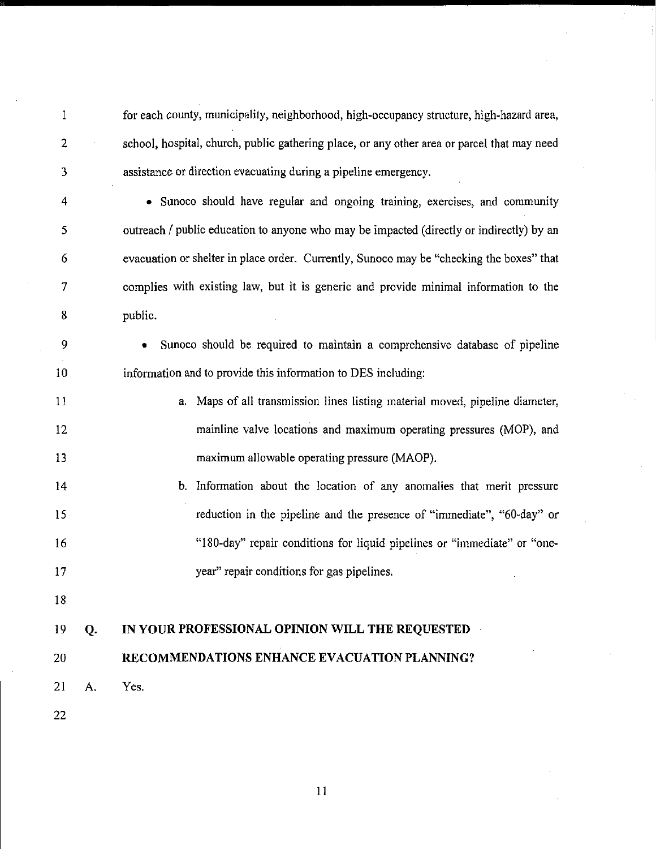for each county, municipality, neighborhood, high-occupancy structure, high-hazard area, school, hospital, church, public gathering place, or any other area or parcel that may need assistance or direction evacuating during a pipeline emergency.

 • Sunoco should have regular and ongoing training, exercises, and community outreach / public education to anyone who may be impacted (directly or indirectly) by an evacuation or shelter in place order. Currently, Sunoco may be "checking the boxes" that complies with existing law, but it is generic and provide minimal information to the public.

 • Sunoco should be required to maintain a comprehensive database of pipeline information and to provide this information to DES including:

- a. Maps of all transmission lines listing material moved, pipeline diameter, mainline valve locations and maximum operating pressures (MOP), and maximum allowable operating pressure (MAOP).
- b. Information about the location of any anomalies that merit pressure reduction in the pipeline and the presence of "immediate", "60-day" or "180-day" repair conditions for liquid pipelines or "immediate" or "one-year" repair conditions for gas pipelines.
- 

# **Q. IN YOUR PROFESSIONAL OPINION WILL THE REQUESTED**

#### **RECOMMENDATIONS ENHANCE EVACUATION PLANNING?**

- A. Yes.
-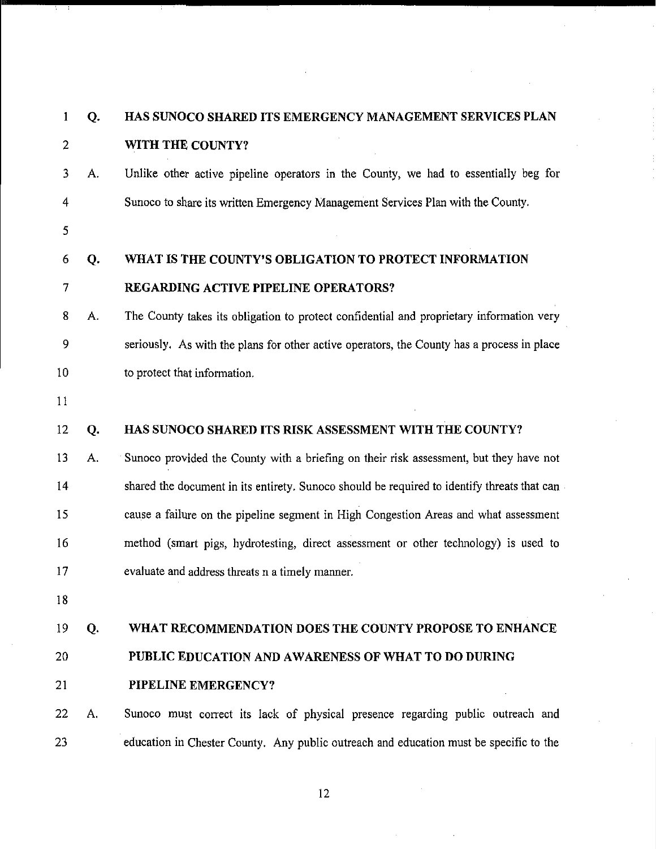| $\mathbf{1}$   | Q. | HAS SUNOCO SHARED ITS EMERGENCY MANAGEMENT SERVICES PLAN                                    |
|----------------|----|---------------------------------------------------------------------------------------------|
| $\overline{2}$ |    | WITH THE COUNTY?                                                                            |
| 3              | A. | Unlike other active pipeline operators in the County, we had to essentially beg for         |
| 4              |    | Sunoco to share its written Emergency Management Services Plan with the County.             |
| 5              |    |                                                                                             |
| 6              | Q. | WHAT IS THE COUNTY'S OBLIGATION TO PROTECT INFORMATION                                      |
| 7              |    | REGARDING ACTIVE PIPELINE OPERATORS?                                                        |
| 8              | A. | The County takes its obligation to protect confidential and proprietary information very    |
| 9              |    | seriously. As with the plans for other active operators, the County has a process in place  |
| 10             |    | to protect that information.                                                                |
| 11             |    |                                                                                             |
| 12             | Q. | HAS SUNOCO SHARED ITS RISK ASSESSMENT WITH THE COUNTY?                                      |
| 13             | А. | Sunoco provided the County with a briefing on their risk assessment, but they have not      |
| 14             |    | shared the document in its entirety. Sunoco should be required to identify threats that can |
| 15             |    | cause a failure on the pipeline segment in High Congestion Areas and what assessment        |
| 16             |    | method (smart pigs, hydrotesting, direct assessment or other technology) is used to         |
| 17             |    | evaluate and address threats n a timely manner.                                             |
| 18             |    |                                                                                             |
| 19             | Q. | WHAT RECOMMENDATION DOES THE COUNTY PROPOSE TO ENHANCE                                      |
| 20             |    | PUBLIC EDUCATION AND AWARENESS OF WHAT TO DO DURING                                         |
| 21             |    | PIPELINE EMERGENCY?                                                                         |
| 22             | A. | Sunoco must correct its lack of physical presence regarding public outreach and             |
| 23             |    | education in Chester County. Any public outreach and education must be specific to the      |
|                |    |                                                                                             |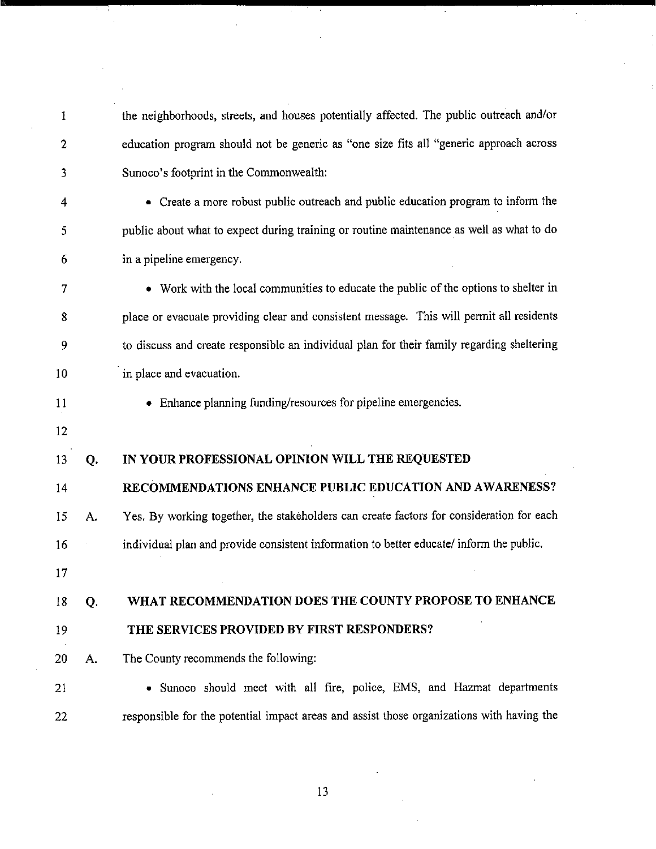| 1  |    | the neighborhoods, streets, and houses potentially affected. The public outreach and/or    |
|----|----|--------------------------------------------------------------------------------------------|
| 2  |    | education program should not be generic as "one size fits all "generic approach across     |
| 3  |    | Sunoco's footprint in the Commonwealth:                                                    |
| 4  |    | • Create a more robust public outreach and public education program to inform the          |
| 5  |    | public about what to expect during training or routine maintenance as well as what to do   |
| 6  |    | in a pipeline emergency.                                                                   |
| 7  |    | • Work with the local communities to educate the public of the options to shelter in       |
| 8  |    | place or evacuate providing clear and consistent message. This will permit all residents   |
| 9  |    | to discuss and create responsible an individual plan for their family regarding sheltering |
| 10 |    | in place and evacuation.                                                                   |
| 11 |    | • Enhance planning funding/resources for pipeline emergencies.                             |
| 12 |    |                                                                                            |
| 13 | Q. | IN YOUR PROFESSIONAL OPINION WILL THE REQUESTED                                            |
|    |    |                                                                                            |
| 14 |    | RECOMMENDATIONS ENHANCE PUBLIC EDUCATION AND AWARENESS?                                    |
| 15 | А. | Yes. By working together, the stakeholders can create factors for consideration for each   |
| 16 |    | individual plan and provide consistent information to better educate/ inform the public.   |
| 17 |    |                                                                                            |
| 18 | Q. | WHAT RECOMMENDATION DOES THE COUNTY PROPOSE TO ENHANCE                                     |
| 19 |    | THE SERVICES PROVIDED BY FIRST RESPONDERS?                                                 |
| 20 | А. | The County recommends the following:                                                       |
| 21 |    | • Sunoco should meet with all fire, police, EMS, and Hazmat departments                    |

 $\mathcal{F}^{\mathcal{G}}_{\mathcal{G}}(x)$